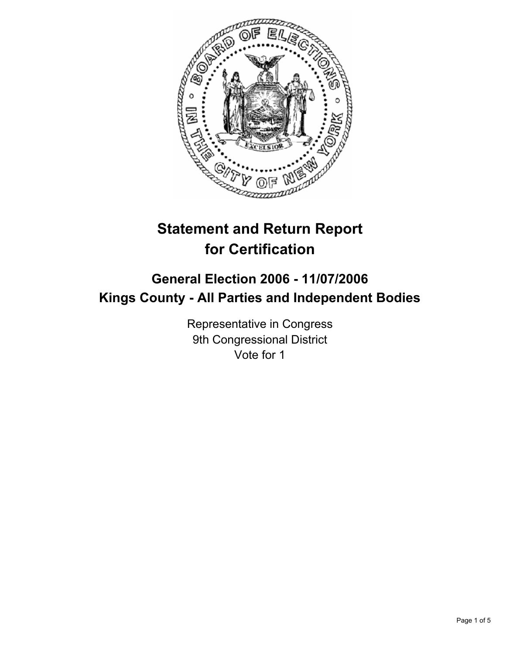

# **Statement and Return Report for Certification**

# **General Election 2006 - 11/07/2006 Kings County - All Parties and Independent Bodies**

Representative in Congress 9th Congressional District Vote for 1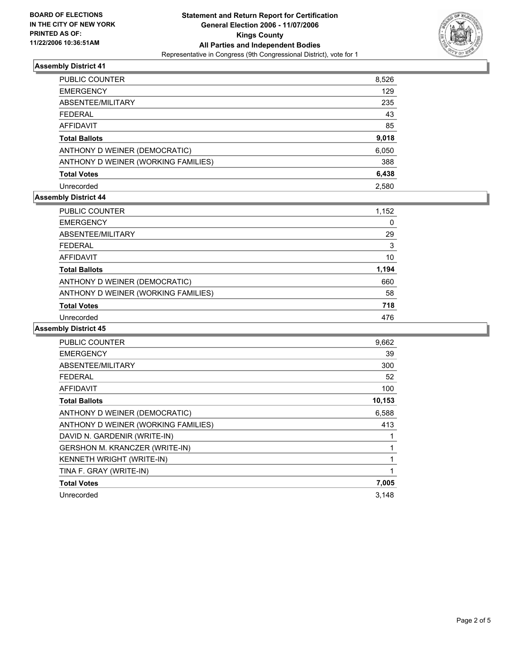

# **Assembly District 41**

| PUBLIC COUNTER                      | 8,526 |
|-------------------------------------|-------|
| <b>EMERGENCY</b>                    | 129   |
| ABSENTEE/MILITARY                   | 235   |
| <b>FEDERAL</b>                      | 43    |
| AFFIDAVIT                           | 85    |
| <b>Total Ballots</b>                | 9,018 |
| ANTHONY D WEINER (DEMOCRATIC)       | 6,050 |
| ANTHONY D WEINER (WORKING FAMILIES) | 388   |
| <b>Total Votes</b>                  | 6,438 |
| Unrecorded                          | 2.580 |

# **Assembly District 44**

| PUBLIC COUNTER                      | 1,152 |
|-------------------------------------|-------|
| <b>EMERGENCY</b>                    |       |
| ABSENTEE/MILITARY                   | 29    |
| <b>FEDERAL</b>                      | 3     |
| AFFIDAVIT                           | 10    |
| <b>Total Ballots</b>                | 1,194 |
| ANTHONY D WEINER (DEMOCRATIC)       | 660   |
| ANTHONY D WEINER (WORKING FAMILIES) | 58    |
| <b>Total Votes</b>                  | 718   |
| Unrecorded                          | 476   |

#### **Assembly District 45**

| <b>PUBLIC COUNTER</b>                 | 9,662  |
|---------------------------------------|--------|
| <b>EMERGENCY</b>                      | 39     |
| ABSENTEE/MILITARY                     | 300    |
| <b>FEDERAL</b>                        | 52     |
| <b>AFFIDAVIT</b>                      | 100    |
| <b>Total Ballots</b>                  | 10,153 |
| ANTHONY D WEINER (DEMOCRATIC)         | 6,588  |
| ANTHONY D WEINER (WORKING FAMILIES)   | 413    |
| DAVID N. GARDENIR (WRITE-IN)          |        |
| <b>GERSHON M. KRANCZER (WRITE-IN)</b> |        |
| KENNETH WRIGHT (WRITE-IN)             |        |
| TINA F. GRAY (WRITE-IN)               |        |
| <b>Total Votes</b>                    | 7,005  |
| Unrecorded                            | 3,148  |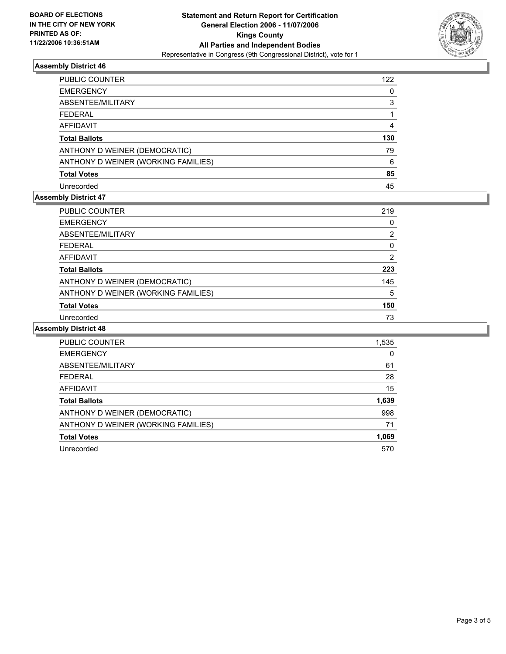

# **Assembly District 46**

| PUBLIC COUNTER                      | 122 |
|-------------------------------------|-----|
| <b>EMERGENCY</b>                    |     |
| ABSENTEE/MILITARY                   |     |
| <b>FEDERAL</b>                      |     |
| AFFIDAVIT                           |     |
| <b>Total Ballots</b>                | 130 |
| ANTHONY D WEINER (DEMOCRATIC)       | 79  |
| ANTHONY D WEINER (WORKING FAMILIES) | 6   |
| <b>Total Votes</b>                  | 85  |
| Unrecorded                          | 45  |

# **Assembly District 47**

| PUBLIC COUNTER                      | 219 |
|-------------------------------------|-----|
| <b>EMERGENCY</b>                    |     |
| ABSENTEE/MILITARY                   | ົ   |
| <b>FEDERAL</b>                      |     |
| AFFIDAVIT                           | 2   |
| <b>Total Ballots</b>                | 223 |
| ANTHONY D WEINER (DEMOCRATIC)       | 145 |
| ANTHONY D WEINER (WORKING FAMILIES) | 5   |
| <b>Total Votes</b>                  | 150 |
| Unrecorded                          | 73  |

#### **Assembly District 48**

| 1,535 |
|-------|
|       |
| 61    |
| 28    |
| 15    |
| 1,639 |
| 998   |
| 71    |
| 1,069 |
| 570   |
|       |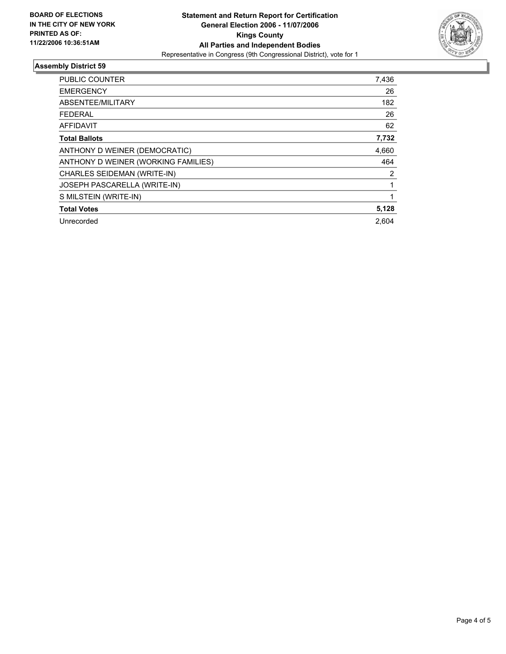

# **Assembly District 59**

| <b>PUBLIC COUNTER</b>               | 7,436 |  |
|-------------------------------------|-------|--|
| <b>EMERGENCY</b>                    | 26    |  |
| ABSENTEE/MILITARY                   | 182   |  |
| <b>FEDERAL</b>                      | 26    |  |
| AFFIDAVIT                           | 62    |  |
| <b>Total Ballots</b>                | 7,732 |  |
| ANTHONY D WEINER (DEMOCRATIC)       | 4,660 |  |
| ANTHONY D WEINER (WORKING FAMILIES) | 464   |  |
| CHARLES SEIDEMAN (WRITE-IN)         | 2     |  |
| JOSEPH PASCARELLA (WRITE-IN)        |       |  |
| S MILSTEIN (WRITE-IN)               |       |  |
| <b>Total Votes</b>                  | 5,128 |  |
| Unrecorded                          | 2.604 |  |